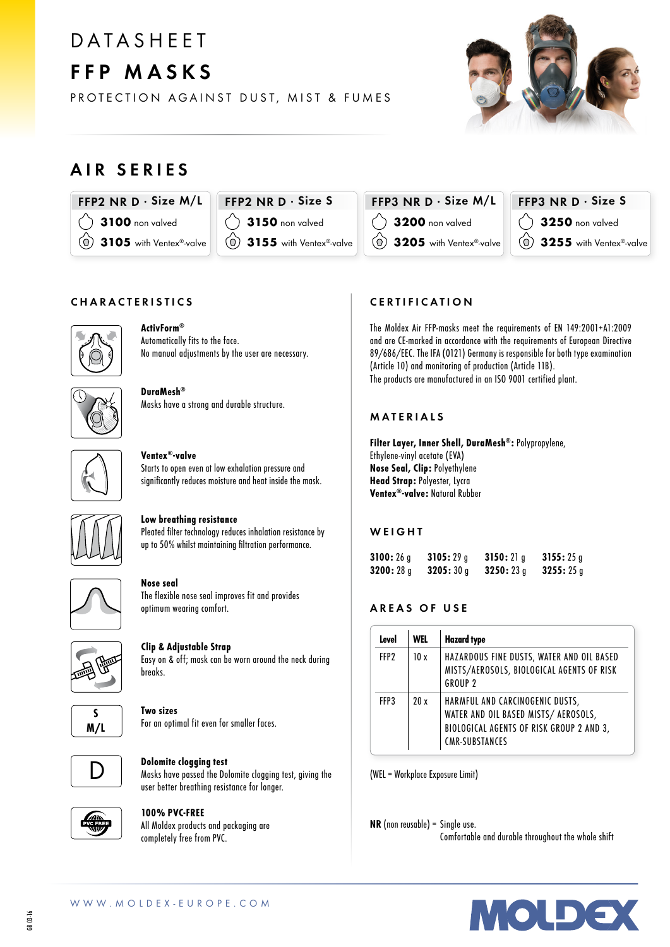# **DATASHEET** FFP MASKS

PROTECTION AGAINST DUST, MIST & FUMES



## AIR SERIES



 $FFP2$  NR D  $\cdot$  Size S **3150** non valved 3155 with Ventex®-valve



### $FFP3$  NR D  $\cdot$  Size S 3250 non valved 3255 with Ventex®-valve

#### CHARACTERISTICS



ActivForm® Automatically fits to the face. No manual adjustments by the user are necessary.



DuraMesh® Masks have a strong and durable structure.



#### Ventex®-valve

Starts to open even at low exhalation pressure and significantly reduces moisture and heat inside the mask.



### Low breathing resistance

Pleated filter technology reduces inhalation resistance by up to 50% whilst maintaining filtration performance.



#### Nose seal

The flexible nose seal improves fit and provides optimum wearing comfort.



Clip & Adjustable Strap

Easy on & off; mask can be worn around the neck during breaks.



## Two sizes

For an optimal fit even for smaller faces.



#### Dolomite clogging test Masks have passed the Dolomite clogging test, giving the user better breathing resistance for longer.



#### 100% PVC-FREE

All Moldex products and packaging are completely free from PVC.

#### CERTIFICATION

The Moldex Air FFP-masks meet the requirements of EN 149:2001+A1:2009 and are CE-marked in accordance with the requirements of European Directive 89/686/EEC. The IFA (0121) Germany is responsible for both type examination (Article 10) and monitoring of production (Article 11B). The products are manufactured in an ISO 9001 certified plant.

#### MATERIALS

Filter Layer, Inner Shell, DuraMesh®: Polypropylene, Ethylene-vinyl acetate (EVA) Nose Seal, Clip: Polyethylene Head Strap: Polyester, Lycra Ventex®-valve: Natural Rubber

#### **WEIGHT**

| 3100:26a | 3105:29a | 3150:21a | 3155:25q |
|----------|----------|----------|----------|
| 3200:28q | 3205:30q | 3250:23q | 3255:25g |

#### AREAS OF USE

| Level            | WEL | <b>Hazard type</b>                                                                                                                           |
|------------------|-----|----------------------------------------------------------------------------------------------------------------------------------------------|
| FFP <sub>2</sub> | 10x | HAZARDOUS FINE DUSTS, WATER AND OIL BASED<br>MISTS/AEROSOLS, BIOLOGICAL AGENTS OF RISK<br>GROUP <sub>2</sub>                                 |
| FFP3             | 20x | HARMFUL AND CARCINOGENIC DUSTS,<br>WATER AND OIL BASED MISTS/ AEROSOLS,<br>BIOLOGICAL AGENTS OF RISK GROUP 2 AND 3,<br><b>CMR-SUBSTANCES</b> |

(WEL = Workplace Exposure Limit)

NR (non reusable) = Single use. Comfortable and durable throughout the whole shift